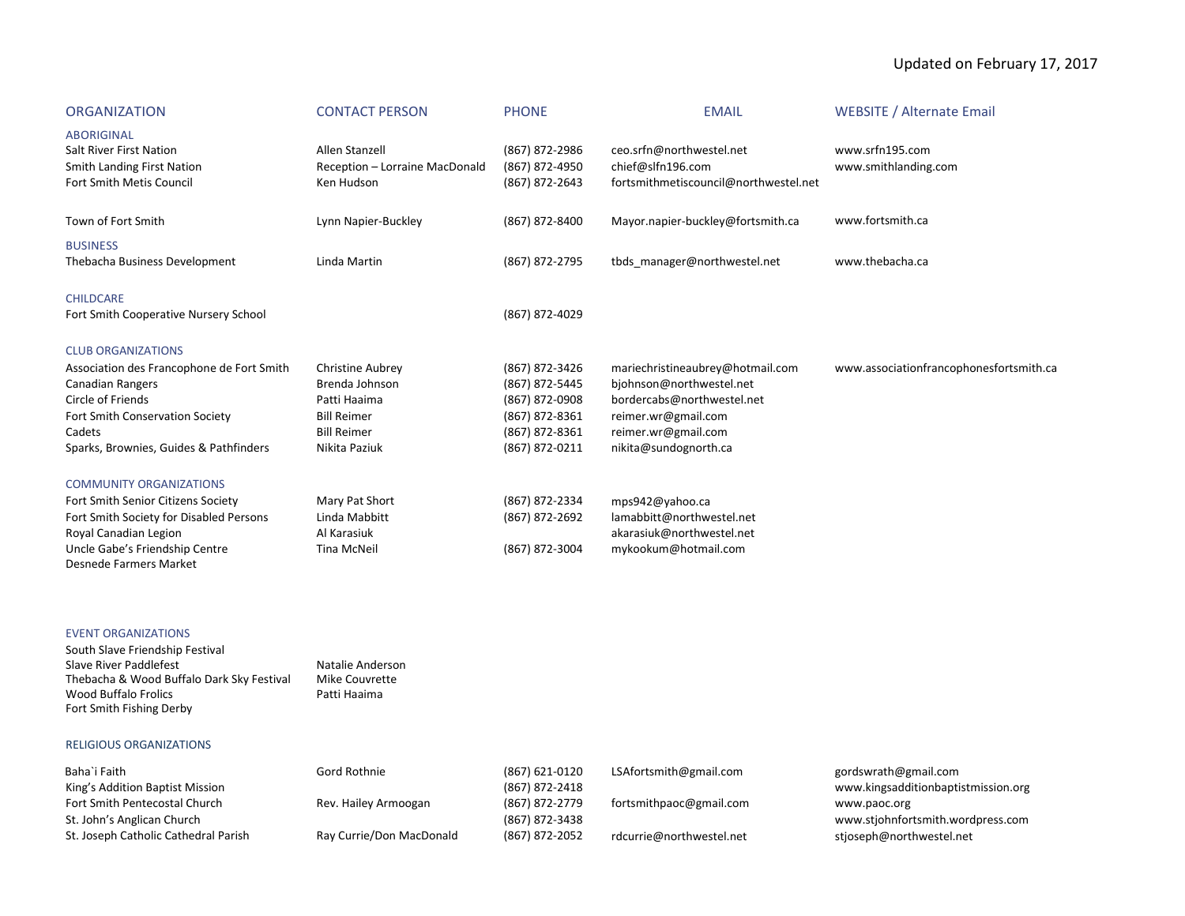# Updated on February 17, 2017

| <b>ORGANIZATION</b>                                                                                                                                                                                    | <b>CONTACT PERSON</b>                                                                                                  | <b>PHONE</b>                                                                                             | <b>EMAIL</b>                                                                                                                                                      | <b>WEBSITE / Alternate Email</b>        |
|--------------------------------------------------------------------------------------------------------------------------------------------------------------------------------------------------------|------------------------------------------------------------------------------------------------------------------------|----------------------------------------------------------------------------------------------------------|-------------------------------------------------------------------------------------------------------------------------------------------------------------------|-----------------------------------------|
| <b>ABORIGINAL</b><br>Salt River First Nation<br><b>Smith Landing First Nation</b><br>Fort Smith Metis Council                                                                                          | Allen Stanzell<br>Reception - Lorraine MacDonald<br>Ken Hudson                                                         | (867) 872-2986<br>(867) 872-4950<br>(867) 872-2643                                                       | ceo.srfn@northwestel.net<br>chief@slfn196.com<br>fortsmithmetiscouncil@northwestel.net                                                                            | www.srfn195.com<br>www.smithlanding.com |
| Town of Fort Smith                                                                                                                                                                                     | Lynn Napier-Buckley                                                                                                    | (867) 872-8400                                                                                           | Mayor.napier-buckley@fortsmith.ca                                                                                                                                 | www.fortsmith.ca                        |
| <b>BUSINESS</b><br>Thebacha Business Development                                                                                                                                                       | Linda Martin                                                                                                           | (867) 872-2795                                                                                           | tbds manager@northwestel.net                                                                                                                                      | www.thebacha.ca                         |
| <b>CHILDCARE</b><br>Fort Smith Cooperative Nursery School                                                                                                                                              |                                                                                                                        | (867) 872-4029                                                                                           |                                                                                                                                                                   |                                         |
| <b>CLUB ORGANIZATIONS</b><br>Association des Francophone de Fort Smith<br>Canadian Rangers<br>Circle of Friends<br>Fort Smith Conservation Society<br>Cadets<br>Sparks, Brownies, Guides & Pathfinders | <b>Christine Aubrey</b><br>Brenda Johnson<br>Patti Haaima<br><b>Bill Reimer</b><br><b>Bill Reimer</b><br>Nikita Paziuk | (867) 872-3426<br>(867) 872-5445<br>(867) 872-0908<br>(867) 872-8361<br>(867) 872-8361<br>(867) 872-0211 | mariechristineaubrey@hotmail.com<br>bjohnson@northwestel.net<br>bordercabs@northwestel.net<br>reimer.wr@gmail.com<br>reimer.wr@gmail.com<br>nikita@sundognorth.ca | www.associationfrancophonesfortsmith.ca |
| <b>COMMUNITY ORGANIZATIONS</b><br>Fort Smith Senior Citizens Society<br>Fort Smith Society for Disabled Persons<br>Royal Canadian Legion<br>Uncle Gabe's Friendship Centre<br>Desnede Farmers Market   | Mary Pat Short<br>Linda Mabbitt<br>Al Karasiuk<br><b>Tina McNeil</b>                                                   | (867) 872-2334<br>(867) 872-2692<br>(867) 872-3004                                                       | mps942@yahoo.ca<br>lamabbitt@northwestel.net<br>akarasiuk@northwestel.net<br>mykookum@hotmail.com                                                                 |                                         |

## EVENT ORGANIZATIONS

Natalie Anderson Mike Couvrette Patti Haaima

## RELIGIOUS ORGANIZATIONS

| Baha`i Faith<br>King's Addition Baptist Mission | Gord Rothnie             | (867) 621-0120<br>(867) 872-2418 | LSAfortsmith@gmail.com   | gordswrath@gmail.com<br>www.kingsadditionbaptistmission.org |
|-------------------------------------------------|--------------------------|----------------------------------|--------------------------|-------------------------------------------------------------|
| Fort Smith Pentecostal Church                   | Rev. Hailey Armoogan     | (867) 872-2779                   | fortsmithpaoc@gmail.com  | www.paoc.org                                                |
| St. John's Anglican Church                      |                          | (867) 872-3438                   |                          | www.stjohnfortsmith.wordpress.com                           |
| St. Joseph Catholic Cathedral Parish            | Ray Currie/Don MacDonald | (867) 872-2052                   | rdcurrie@northwestel.net | stjoseph@northwestel.net                                    |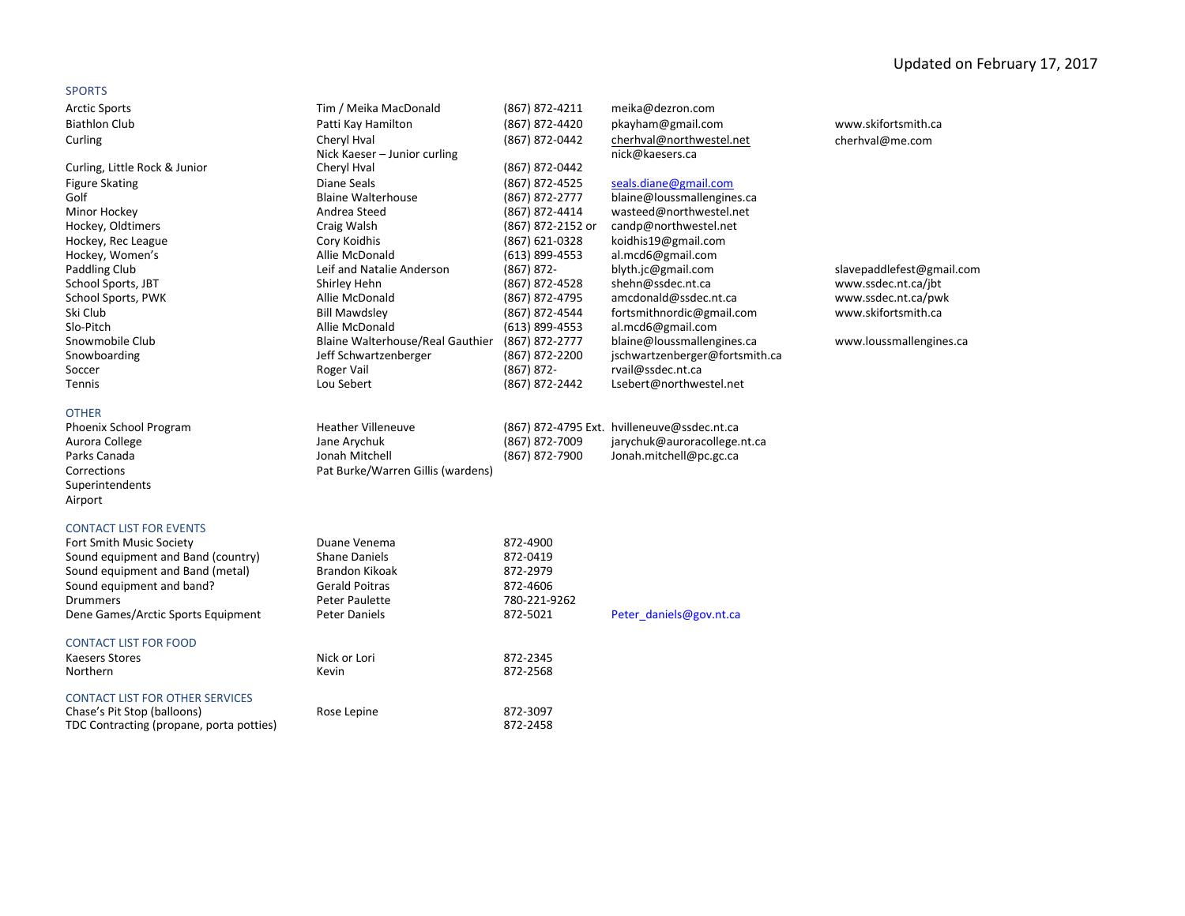## SPORTS

| Arctic Sports               |
|-----------------------------|
| <b>Biathlon Club</b>        |
| Curling                     |
|                             |
| Curling, Little Rock & Juni |
| <b>Figure Skating</b>       |
| Golf                        |
| Minor Hockey                |
| Hockey, Oldtimers           |
| Hockey, Rec League          |
| Hockey, Women's             |
| De elettre el Obrito        |

| <b>Arctic Sports</b>               | Tim / Meika MacDonald             | (867) 872-4211    | meika@dezron.com                            |                           |
|------------------------------------|-----------------------------------|-------------------|---------------------------------------------|---------------------------|
| <b>Biathlon Club</b>               | Patti Kay Hamilton                | (867) 872-4420    | pkayham@gmail.com                           | www.skifortsmith.ca       |
| Curling                            | Cheryl Hval                       | (867) 872-0442    | cherhval@northwestel.net                    | cherhval@me.com           |
|                                    | Nick Kaeser - Junior curling      |                   | nick@kaesers.ca                             |                           |
| Curling, Little Rock & Junior      | Cheryl Hval                       | (867) 872-0442    |                                             |                           |
| <b>Figure Skating</b>              | Diane Seals                       | (867) 872-4525    | seals.diane@gmail.com                       |                           |
| Golf                               | <b>Blaine Walterhouse</b>         | (867) 872-2777    | blaine@loussmallengines.ca                  |                           |
| Minor Hockey                       | Andrea Steed                      | (867) 872-4414    | wasteed@northwestel.net                     |                           |
| Hockey, Oldtimers                  | Craig Walsh                       | (867) 872-2152 or | candp@northwestel.net                       |                           |
| Hockey, Rec League                 | Cory Koidhis                      | (867) 621-0328    | koidhis19@gmail.com                         |                           |
| Hockey, Women's                    | Allie McDonald                    | (613) 899-4553    | al.mcd6@gmail.com                           |                           |
| Paddling Club                      | Leif and Natalie Anderson         | $(867) 872 -$     | blyth.jc@gmail.com                          | slavepaddlefest@gmail.com |
| School Sports, JBT                 | Shirley Hehn                      | (867) 872-4528    | shehn@ssdec.nt.ca                           | www.ssdec.nt.ca/jbt       |
| School Sports, PWK                 | Allie McDonald                    | (867) 872-4795    | amcdonald@ssdec.nt.ca                       | www.ssdec.nt.ca/pwk       |
| Ski Club                           | <b>Bill Mawdsley</b>              | (867) 872-4544    | fortsmithnordic@gmail.com                   | www.skifortsmith.ca       |
| Slo-Pitch                          | Allie McDonald                    | $(613)$ 899-4553  | al.mcd6@gmail.com                           |                           |
| Snowmobile Club                    | Blaine Walterhouse/Real Gauthier  | (867) 872-2777    | blaine@loussmallengines.ca                  | www.loussmallengines.ca   |
| Snowboarding                       | Jeff Schwartzenberger             | (867) 872-2200    | jschwartzenberger@fortsmith.ca              |                           |
| Soccer                             | Roger Vail                        | $(867) 872 -$     | rvail@ssdec.nt.ca                           |                           |
| Tennis                             | Lou Sebert                        | (867) 872-2442    | Lsebert@northwestel.net                     |                           |
| <b>OTHER</b>                       |                                   |                   |                                             |                           |
| Phoenix School Program             | <b>Heather Villeneuve</b>         |                   | (867) 872-4795 Ext. hvilleneuve@ssdec.nt.ca |                           |
| Aurora College                     | Jane Arychuk                      | (867) 872-7009    | jarychuk@auroracollege.nt.ca                |                           |
| Parks Canada                       | Jonah Mitchell                    | (867) 872-7900    | Jonah.mitchell@pc.gc.ca                     |                           |
| Corrections                        | Pat Burke/Warren Gillis (wardens) |                   |                                             |                           |
| Superintendents                    |                                   |                   |                                             |                           |
| Airport                            |                                   |                   |                                             |                           |
|                                    |                                   |                   |                                             |                           |
| <b>CONTACT LIST FOR EVENTS</b>     |                                   |                   |                                             |                           |
| Fort Smith Music Society           | Duane Venema                      | 872-4900          |                                             |                           |
| Sound equipment and Band (country) | <b>Shane Daniels</b>              | 872-0419          |                                             |                           |
| Sound equipment and Band (metal)   | <b>Brandon Kikoak</b>             | 872-2979          |                                             |                           |
| Sound equipment and band?          | <b>Gerald Poitras</b>             | 872-4606          |                                             |                           |
| <b>Drummers</b>                    | Peter Paulette                    | 780-221-9262      |                                             |                           |
| Dene Games/Arctic Sports Equipment | Peter Daniels                     | 872-5021          | Peter daniels@gov.nt.ca                     |                           |

CONTACT LIST FOR FOOD

| Kaesers Stores<br>Northern               | Nick or Lori<br>Kevin | 872-2345<br>872-2568 |
|------------------------------------------|-----------------------|----------------------|
| <b>CONTACT LIST FOR OTHER SERVICES</b>   |                       |                      |
| Chase's Pit Stop (balloons)              | Rose Lepine           | 872-3097             |
| TDC Contracting (propane, porta potties) |                       | 872-2458             |